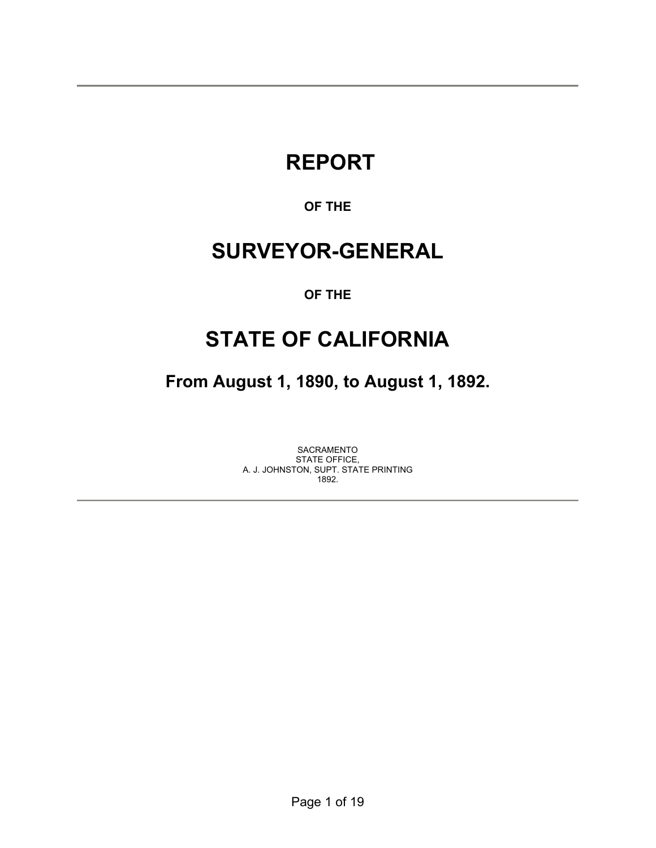# **REPORT**

### **OF THE**

# **SURVEYOR-GENERAL**

### **OF THE**

# **STATE OF CALIFORNIA**

**From August 1, 1890, to August 1, 1892.** 

SACRAMENTO STATE OFFICE, A. J. JOHNSTON, SUPT. STATE PRINTING 1892.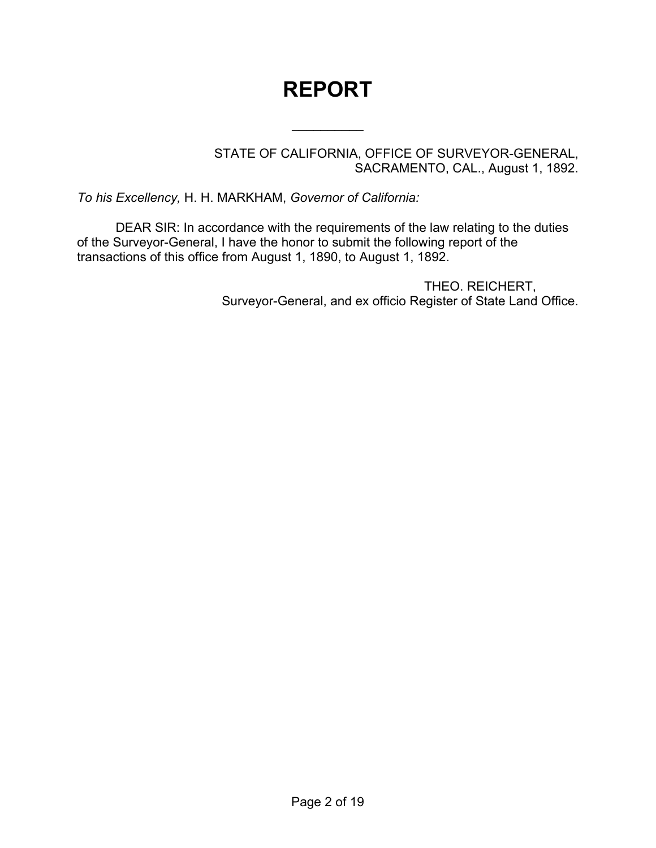# **REPORT**

 $\frac{1}{2}$ 

STATE OF CALIFORNIA, OFFICE OF SURVEYOR-GENERAL, SACRAMENTO, CAL., August 1, 1892.

*To his Excellency,* H. H. MARKHAM, *Governor of California:*

DEAR SIR: In accordance with the requirements of the law relating to the duties of the Surveyor-General, I have the honor to submit the following report of the transactions of this office from August 1, 1890, to August 1, 1892.

> THEO. REICHERT, Surveyor-General, and ex officio Register of State Land Office.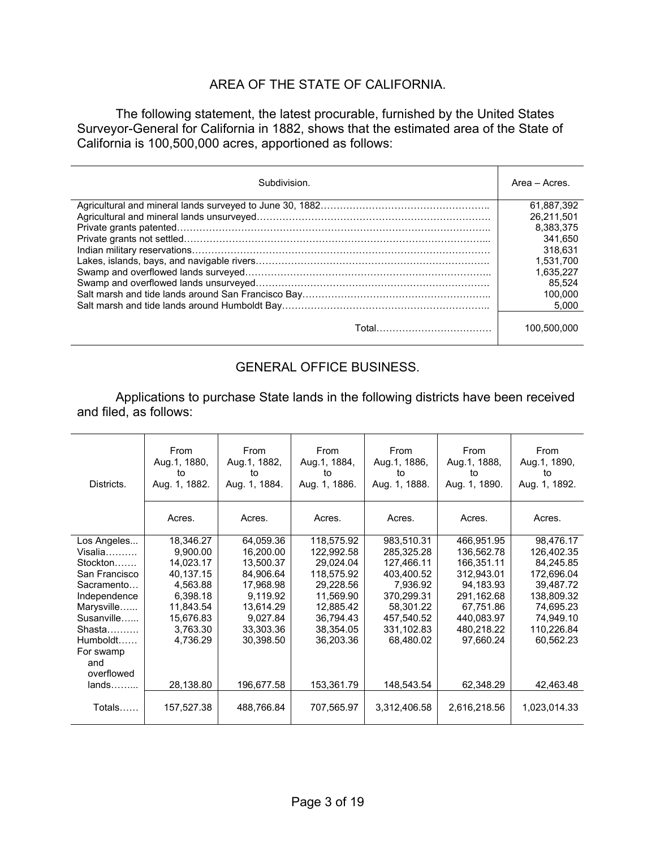#### AREA OF THE STATE OF CALIFORNIA.

 The following statement, the latest procurable, furnished by the United States Surveyor-General for California in 1882, shows that the estimated area of the State of California is 100,500,000 acres, apportioned as follows:

| Subdivision. | Area – Acres |
|--------------|--------------|
|              | 61.887.392   |
|              | 26.211.501   |
|              | 8.383.375    |
|              | 341.650      |
|              | 318.631      |
|              | 1.531.700    |
|              | 1.635.227    |
|              | 85.524       |
|              | 100.000      |
|              | 5.000        |
|              | 100.500.000  |

### GENERAL OFFICE BUSINESS.

 Applications to purchase State lands in the following districts have been received and filed, as follows:

| Districts.             | From<br>Aug.1, 1880,<br>to<br>Aug. 1, 1882. | From<br>Aug.1, 1882,<br>to<br>Aug. 1, 1884. | From<br>Aug.1, 1884,<br>to<br>Aug. 1, 1886. | From<br>Aug.1, 1886,<br>to<br>Aug. 1, 1888. | From<br>Aug.1, 1888,<br>to<br>Aug. 1, 1890. | From<br>Aug.1, 1890,<br>to<br>Aug. 1, 1892. |
|------------------------|---------------------------------------------|---------------------------------------------|---------------------------------------------|---------------------------------------------|---------------------------------------------|---------------------------------------------|
|                        | Acres.                                      | Acres.                                      | Acres.                                      | Acres.                                      | Acres.                                      | Acres.                                      |
| Los Angeles            | 18,346.27                                   | 64,059.36                                   | 118,575.92                                  | 983,510.31                                  | 466,951.95                                  | 98,476.17                                   |
| $Visalia$              | 9,900.00                                    | 16,200.00                                   | 122,992.58                                  | 285,325.28                                  | 136,562.78                                  | 126,402.35                                  |
| $Stockton$             | 14,023.17                                   | 13.500.37                                   | 29,024.04                                   | 127,466.11                                  | 166,351.11                                  | 84,245.85                                   |
| San Francisco          | 40.137.15                                   | 84.906.64                                   | 118,575.92                                  | 403,400.52                                  | 312.943.01                                  | 172,696.04                                  |
| Sacramento             | 4,563.88                                    | 17,968.98                                   | 29,228.56                                   | 7,936.92                                    | 94,183.93                                   | 39,487.72                                   |
| Independence           | 6,398.18                                    | 9,119.92                                    | 11,569.90                                   | 370,299.31                                  | 291,162.68                                  | 138,809.32                                  |
| Marysville.            | 11,843.54                                   | 13,614.29                                   | 12,885.42                                   | 58,301.22                                   | 67,751.86                                   | 74,695.23                                   |
| Susanville             | 15,676.83                                   | 9,027.84                                    | 36,794.43                                   | 457,540.52                                  | 440,083.97                                  | 74,949.10                                   |
| $Shasta$               | 3,763.30                                    | 33,303.36                                   | 38,354.05                                   | 331,102.83                                  | 480,218.22                                  | 110,226.84                                  |
| Humboldt.<br>For swamp | 4,736.29                                    | 30,398.50                                   | 36,203.36                                   | 68,480.02                                   | 97.660.24                                   | 60,562.23                                   |
| and                    |                                             |                                             |                                             |                                             |                                             |                                             |
| overflowed             |                                             |                                             |                                             |                                             |                                             |                                             |
| $lands$                | 28,138.80                                   | 196,677.58                                  | 153,361.79                                  | 148,543.54                                  | 62,348.29                                   | 42,463.48                                   |
| Totals                 | 157,527.38                                  | 488,766.84                                  | 707,565.97                                  | 3,312,406.58                                | 2,616,218.56                                | 1,023,014.33                                |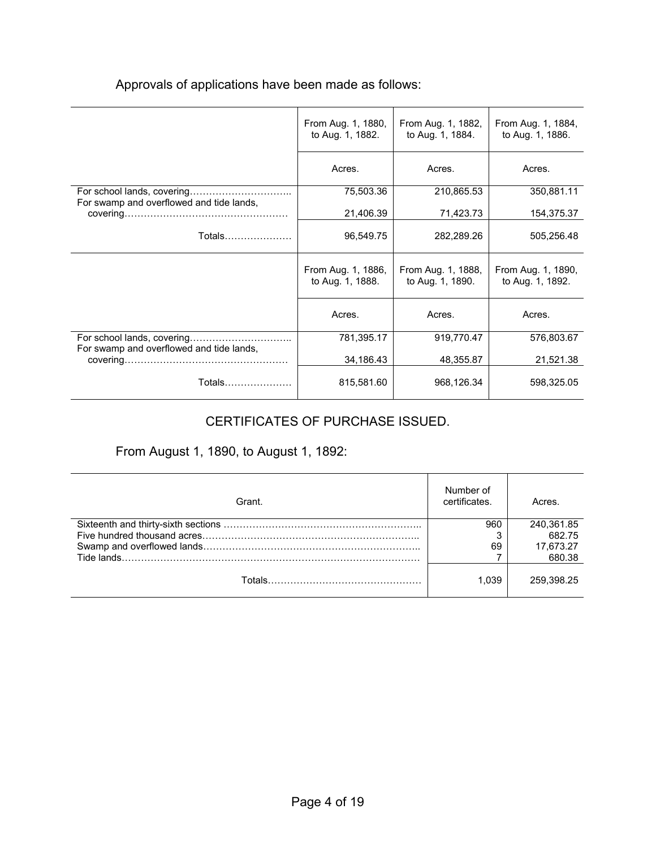|  | Approvals of applications have been made as follows: |
|--|------------------------------------------------------|
|--|------------------------------------------------------|

|                                          | From Aug. 1, 1880,<br>to Aug. 1, 1882. | From Aug. 1, 1882,<br>to Aug. 1, 1884. | From Aug. 1, 1884,<br>to Aug. 1, 1886. |
|------------------------------------------|----------------------------------------|----------------------------------------|----------------------------------------|
|                                          | Acres.                                 | Acres.                                 | Acres.                                 |
|                                          | 75,503.36                              | 210,865.53                             | 350,881.11                             |
| For swamp and overflowed and tide lands, | 21,406.39                              | 71,423.73                              | 154,375.37                             |
| Totals                                   | 96,549.75                              | 282,289.26                             | 505,256.48                             |
|                                          | From Aug. 1, 1886,<br>to Aug. 1, 1888. | From Aug. 1, 1888,<br>to Aug. 1, 1890. | From Aug. 1, 1890,<br>to Aug. 1, 1892. |
|                                          | Acres.                                 | Acres.                                 | Acres.                                 |
|                                          | 781,395.17                             | 919,770.47                             | 576,803.67                             |
| For swamp and overflowed and tide lands, | 34,186.43                              | 48,355.87                              | 21,521.38                              |
| Totals…………………                            | 815,581.60                             | 968,126.34                             | 598,325.05                             |

## CERTIFICATES OF PURCHASE ISSUED.

## From August 1, 1890, to August 1, 1892:

| Grant. | Number of<br>certificates. | Acres.     |
|--------|----------------------------|------------|
|        | 960                        | 240,361.85 |
|        |                            | 682.75     |
|        | 69                         | 17,673.27  |
|        |                            | 680.38     |
|        | 1.039                      | 259.398.25 |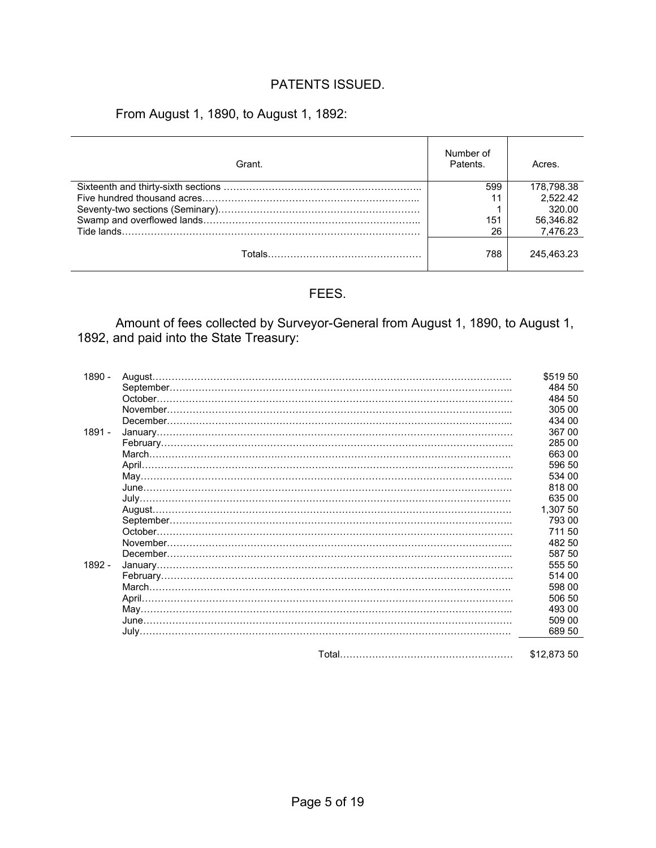### PATENTS ISSUED.

From August 1, 1890, to August 1, 1892:

| Grant. | Number of<br>Patents. | Acres.     |
|--------|-----------------------|------------|
|        | 599                   | 178.798.38 |
|        | 11                    | 2.522.42   |
|        |                       | 320.00     |
|        | 151                   | 56,346.82  |
|        | 26                    | 7.476.23   |
|        | 788                   | 245.463.23 |

#### FEES.

 Amount of fees collected by Surveyor-General from August 1, 1890, to August 1, 1892, and paid into the State Treasury:

| 1890 - | \$51950     |
|--------|-------------|
|        | 484 50      |
|        | 484 50      |
|        | 305 00      |
|        | 434 00      |
| 1891 - | 367 00      |
|        | 285 00      |
|        | 66300       |
|        | 596 50      |
|        | 534 00      |
|        | 81800       |
|        | 635 00      |
|        | 1.307 50    |
|        | 793 00      |
|        | 711 50      |
|        | 482 50      |
|        | 587 50      |
| 1892 - | 555 50      |
|        | 514 00      |
|        | 598 00      |
|        | 506 50      |
|        | 493 00      |
|        | 509 00      |
|        | 689 50      |
|        |             |
|        | \$12,873 50 |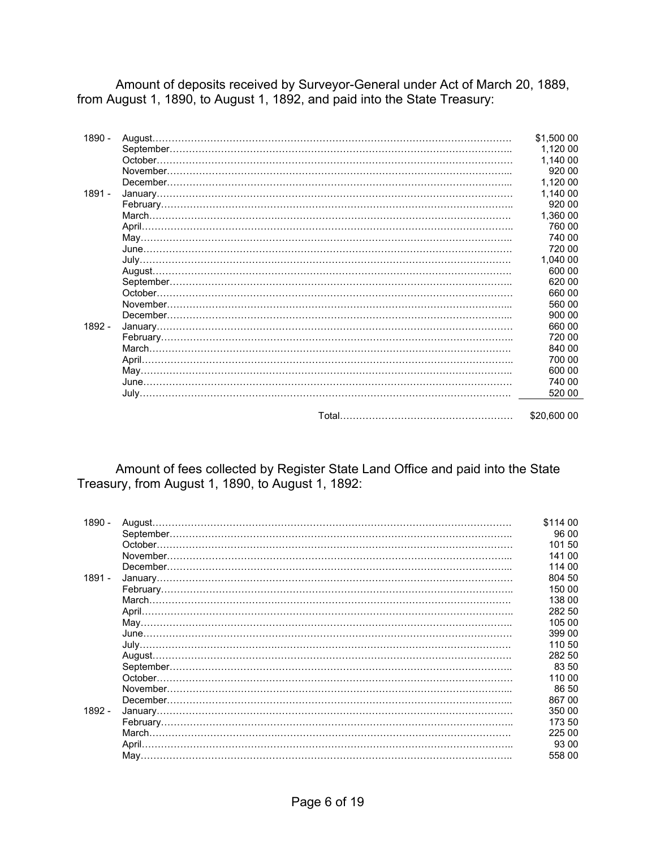Amount of deposits received by Surveyor-General under Act of March 20, 1889, from August 1, 1890, to August 1, 1892, and paid into the State Treasury:

| 1890 - | \$1,500 00  |
|--------|-------------|
|        | 1.120 00    |
|        | 1.140 00    |
|        | 920 00      |
|        | 1.120 00    |
| 1891 - | 1,140 00    |
|        | 920 00      |
|        | 1,360 00    |
|        | 760 00      |
|        | 740 00      |
|        | 720 00      |
|        | 1,040 00    |
|        | 600 00      |
|        | 620 00      |
|        | 660 00      |
|        | 560 00      |
|        | 900 00      |
| 1892 - | 660 00      |
|        | 720 00      |
|        | 840 00      |
|        | 700 00      |
|        | 600 00      |
|        | 740 00      |
|        | 520 00      |
|        |             |
|        | \$20,600 00 |

 Amount of fees collected by Register State Land Office and paid into the State Treasury, from August 1, 1890, to August 1, 1892:

| 1890 -   | August. | \$114 00 |
|----------|---------|----------|
|          |         | 96 00    |
|          |         | 101 50   |
|          |         | 141 00   |
|          |         | 114 00   |
| 1891 -   |         | 804 50   |
|          |         | 150 00   |
|          |         | 138 00   |
|          |         | 282 50   |
|          |         | 105 00   |
|          |         | 399 00   |
|          |         | 110 50   |
|          |         | 282 50   |
|          |         | 83 50    |
|          | October | 110 00   |
|          |         | 86 50    |
|          |         | 86700    |
| $1892 -$ |         | 350 00   |
|          |         | 173.50   |
|          |         | 225 00   |
|          |         | 93 00    |
|          |         | 558 00   |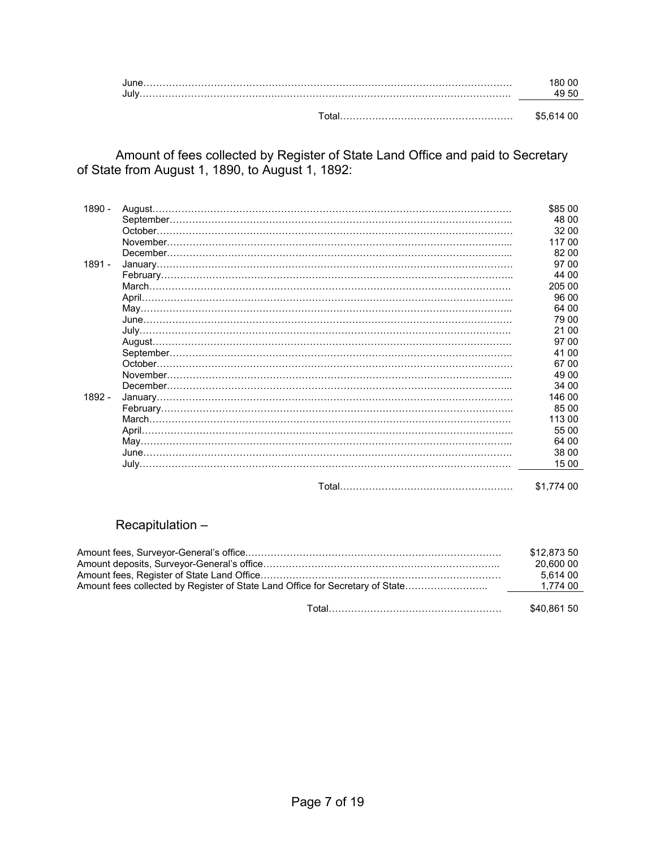Amount of fees collected by Register of State Land Office and paid to Secretary of State from August 1, 1890, to August 1, 1892:

| 1890 - | \$85 00    |
|--------|------------|
|        | 48.00      |
|        | 32 00      |
|        | 117 00     |
|        | 82 00      |
| 1891 - | 97 00      |
|        | 44 00      |
|        | 205 00     |
|        | 96 00      |
|        | 64 00      |
|        | 79 00      |
|        | 21 00      |
|        | 97 00      |
|        | 41 00      |
|        | 67 00      |
|        | 49 00      |
|        | 34 00      |
| 1892 - | 146 00     |
|        | 85 00      |
|        | 113 00     |
|        | 55 00      |
|        | 64 00      |
|        | 38 00      |
|        | 15 00      |
|        |            |
|        | \$1,774 00 |

#### Recapitulation –

| \$12.873 50<br>20,600 00<br>5.614 00 |
|--------------------------------------|
| \$40.861 50                          |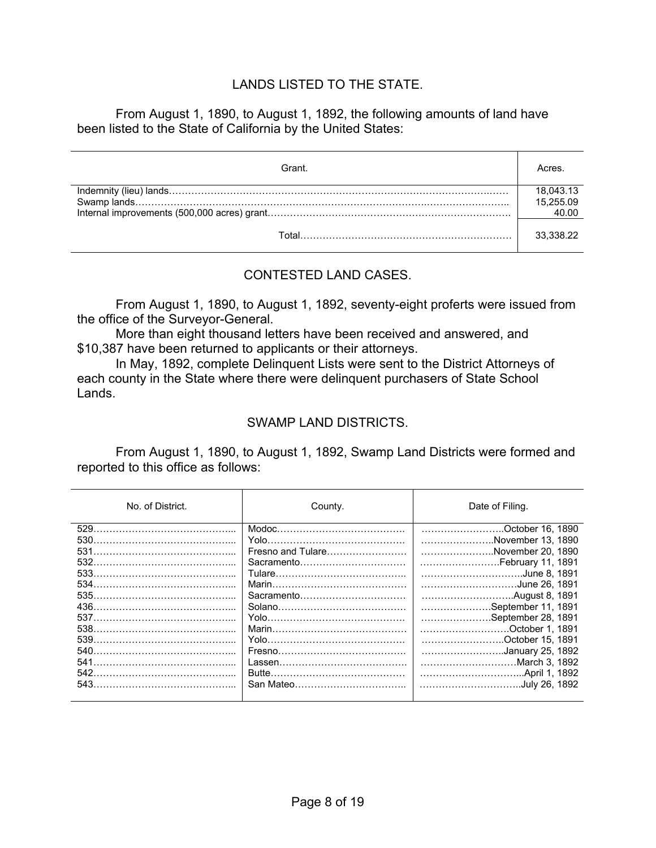#### LANDS LISTED TO THE STATE.

From August 1, 1890, to August 1, 1892, the following amounts of land have been listed to the State of California by the United States:

| Grant. | Acres     |
|--------|-----------|
|        | 18,043.13 |
|        | 15,255.09 |
|        |           |
| ™otal  | 33.338.22 |

#### CONTESTED LAND CASES.

 From August 1, 1890, to August 1, 1892, seventy-eight proferts were issued from the office of the Surveyor-General.

 More than eight thousand letters have been received and answered, and \$10,387 have been returned to applicants or their attorneys.

 In May, 1892, complete Delinquent Lists were sent to the District Attorneys of each county in the State where there were delinquent purchasers of State School Lands.

#### SWAMP LAND DISTRICTS.

 From August 1, 1890, to August 1, 1892, Swamp Land Districts were formed and reported to this office as follows:

| No. of District.                         | County.                                       | Date of Filing.                                                                                                                       |
|------------------------------------------|-----------------------------------------------|---------------------------------------------------------------------------------------------------------------------------------------|
| 529<br>530.<br>531<br>532<br>533.<br>534 | Fresno and Tulare<br>Sacramento<br>Sacramento | October 16, 1890<br>November 13, 1890<br>November 20, 1890<br>February 11, 1891<br>June 8, 1891<br>June 26, 1891                      |
| 436.<br>540.<br>541<br>542<br>543.       |                                               | September 11, 1891<br>September 28, 1891<br>October 1. 1891<br>October 15. 1891<br>January 25, 1892<br>March 3, 1892<br>July 26. 1892 |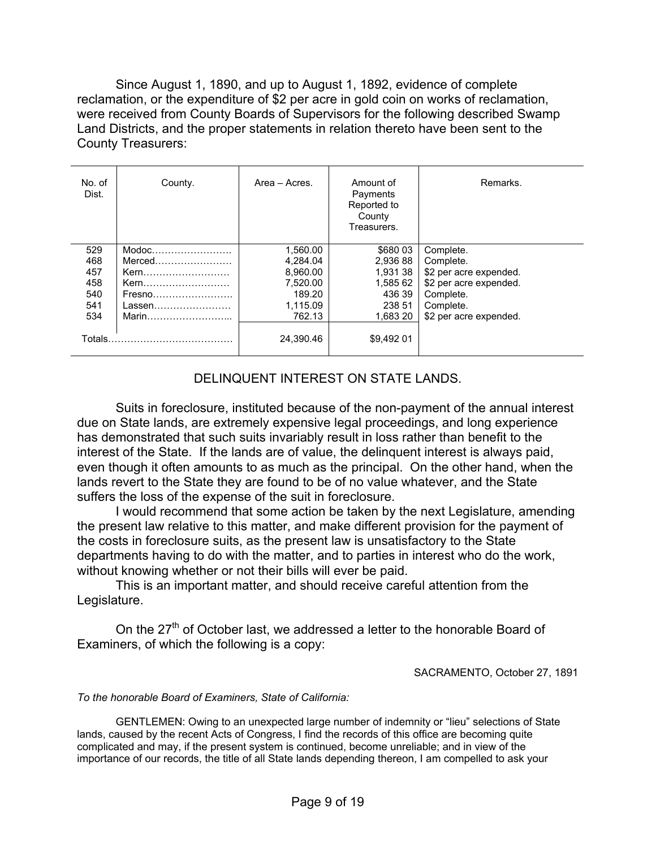Since August 1, 1890, and up to August 1, 1892, evidence of complete reclamation, or the expenditure of \$2 per acre in gold coin on works of reclamation, were received from County Boards of Supervisors for the following described Swamp Land Districts, and the proper statements in relation thereto have been sent to the County Treasurers:

| No. of<br>Dist.                               | County.                                                                                                          | Area - Acres.                                                                | Amount of<br>Payments<br>Reported to<br>County<br>Treasurers.                | Remarks.                                                                                                                       |
|-----------------------------------------------|------------------------------------------------------------------------------------------------------------------|------------------------------------------------------------------------------|------------------------------------------------------------------------------|--------------------------------------------------------------------------------------------------------------------------------|
| 529<br>468<br>457<br>458<br>540<br>541<br>534 | $\mathsf{Modoc}\dots \dots \dots \dots \dots \dots \dots$<br>Merced<br>Kern<br>Kern<br>Fresno<br>Lassen<br>Marin | 1.560.00<br>4.284.04<br>8,960.00<br>7.520.00<br>189.20<br>1.115.09<br>762.13 | \$680 03<br>2.936 88<br>1,931 38<br>1.585 62<br>436 39<br>238 51<br>1.683 20 | Complete.<br>Complete.<br>\$2 per acre expended.<br>\$2 per acre expended.<br>Complete.<br>Complete.<br>\$2 per acre expended. |
| Totals.                                       |                                                                                                                  | 24.390.46                                                                    | \$9.492 01                                                                   |                                                                                                                                |

#### DELINQUENT INTEREST ON STATE LANDS.

 Suits in foreclosure, instituted because of the non-payment of the annual interest due on State lands, are extremely expensive legal proceedings, and long experience has demonstrated that such suits invariably result in loss rather than benefit to the interest of the State. If the lands are of value, the delinquent interest is always paid, even though it often amounts to as much as the principal. On the other hand, when the lands revert to the State they are found to be of no value whatever, and the State suffers the loss of the expense of the suit in foreclosure.

 I would recommend that some action be taken by the next Legislature, amending the present law relative to this matter, and make different provision for the payment of the costs in foreclosure suits, as the present law is unsatisfactory to the State departments having to do with the matter, and to parties in interest who do the work, without knowing whether or not their bills will ever be paid.

 This is an important matter, and should receive careful attention from the Legislature.

On the 27<sup>th</sup> of October last, we addressed a letter to the honorable Board of Examiners, of which the following is a copy:

SACRAMENTO, October 27, 1891

#### *To the honorable Board of Examiners, State of California:*

 GENTLEMEN: Owing to an unexpected large number of indemnity or "lieu" selections of State lands, caused by the recent Acts of Congress, I find the records of this office are becoming quite complicated and may, if the present system is continued, become unreliable; and in view of the importance of our records, the title of all State lands depending thereon, I am compelled to ask your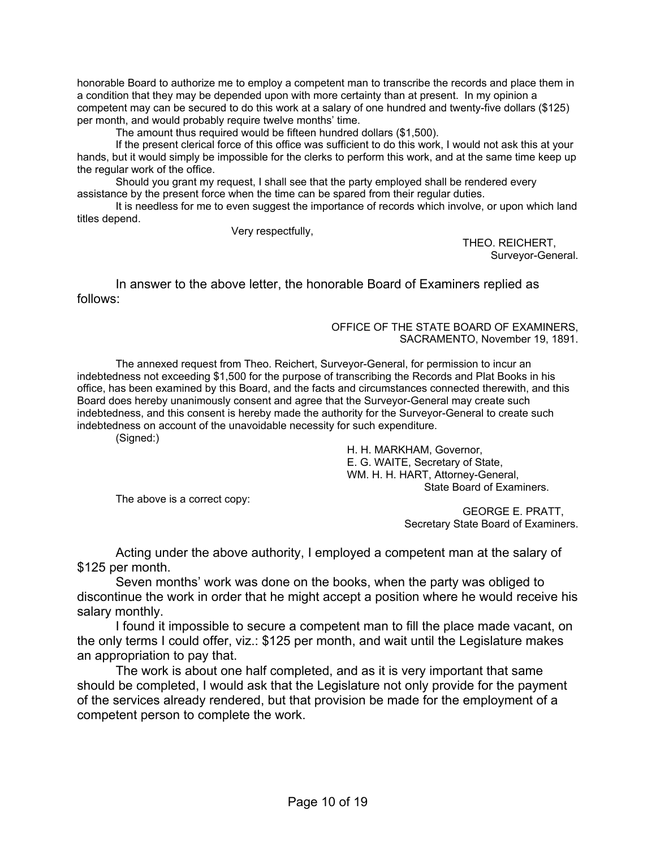honorable Board to authorize me to employ a competent man to transcribe the records and place them in a condition that they may be depended upon with more certainty than at present. In my opinion a competent may can be secured to do this work at a salary of one hundred and twenty-five dollars (\$125) per month, and would probably require twelve months' time.

The amount thus required would be fifteen hundred dollars (\$1,500).

 If the present clerical force of this office was sufficient to do this work, I would not ask this at your hands, but it would simply be impossible for the clerks to perform this work, and at the same time keep up the regular work of the office.

 Should you grant my request, I shall see that the party employed shall be rendered every assistance by the present force when the time can be spared from their regular duties.

 It is needless for me to even suggest the importance of records which involve, or upon which land titles depend.

Very respectfully,

THEO. REICHERT, Surveyor-General.

 In answer to the above letter, the honorable Board of Examiners replied as follows:

> OFFICE OF THE STATE BOARD OF EXAMINERS, SACRAMENTO, November 19, 1891.

 The annexed request from Theo. Reichert, Surveyor-General, for permission to incur an indebtedness not exceeding \$1,500 for the purpose of transcribing the Records and Plat Books in his office, has been examined by this Board, and the facts and circumstances connected therewith, and this Board does hereby unanimously consent and agree that the Surveyor-General may create such indebtedness, and this consent is hereby made the authority for the Surveyor-General to create such indebtedness on account of the unavoidable necessity for such expenditure.

(Signed:)

 H. H. MARKHAM, Governor, E. G. WAITE, Secretary of State, WM. H. H. HART, Attorney-General, State Board of Examiners.

The above is a correct copy:

GEORGE E. PRATT, Secretary State Board of Examiners.

 Acting under the above authority, I employed a competent man at the salary of \$125 per month.

 Seven months' work was done on the books, when the party was obliged to discontinue the work in order that he might accept a position where he would receive his salary monthly.

 I found it impossible to secure a competent man to fill the place made vacant, on the only terms I could offer, viz.: \$125 per month, and wait until the Legislature makes an appropriation to pay that.

 The work is about one half completed, and as it is very important that same should be completed, I would ask that the Legislature not only provide for the payment of the services already rendered, but that provision be made for the employment of a competent person to complete the work.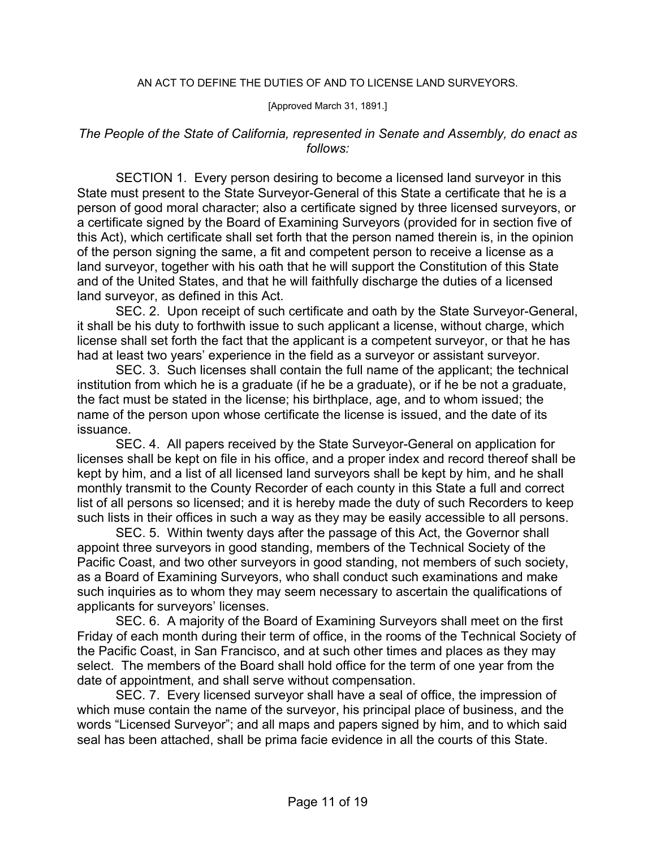#### AN ACT TO DEFINE THE DUTIES OF AND TO LICENSE LAND SURVEYORS.

#### [Approved March 31, 1891.]

#### *The People of the State of California, represented in Senate and Assembly, do enact as follows:*

 SECTION 1. Every person desiring to become a licensed land surveyor in this State must present to the State Surveyor-General of this State a certificate that he is a person of good moral character; also a certificate signed by three licensed surveyors, or a certificate signed by the Board of Examining Surveyors (provided for in section five of this Act), which certificate shall set forth that the person named therein is, in the opinion of the person signing the same, a fit and competent person to receive a license as a land surveyor, together with his oath that he will support the Constitution of this State and of the United States, and that he will faithfully discharge the duties of a licensed land surveyor, as defined in this Act.

 SEC. 2. Upon receipt of such certificate and oath by the State Surveyor-General, it shall be his duty to forthwith issue to such applicant a license, without charge, which license shall set forth the fact that the applicant is a competent surveyor, or that he has had at least two years' experience in the field as a surveyor or assistant surveyor.

 SEC. 3. Such licenses shall contain the full name of the applicant; the technical institution from which he is a graduate (if he be a graduate), or if he be not a graduate, the fact must be stated in the license; his birthplace, age, and to whom issued; the name of the person upon whose certificate the license is issued, and the date of its issuance.

 SEC. 4. All papers received by the State Surveyor-General on application for licenses shall be kept on file in his office, and a proper index and record thereof shall be kept by him, and a list of all licensed land surveyors shall be kept by him, and he shall monthly transmit to the County Recorder of each county in this State a full and correct list of all persons so licensed; and it is hereby made the duty of such Recorders to keep such lists in their offices in such a way as they may be easily accessible to all persons.

 SEC. 5. Within twenty days after the passage of this Act, the Governor shall appoint three surveyors in good standing, members of the Technical Society of the Pacific Coast, and two other surveyors in good standing, not members of such society, as a Board of Examining Surveyors, who shall conduct such examinations and make such inquiries as to whom they may seem necessary to ascertain the qualifications of applicants for surveyors' licenses.

 SEC. 6. A majority of the Board of Examining Surveyors shall meet on the first Friday of each month during their term of office, in the rooms of the Technical Society of the Pacific Coast, in San Francisco, and at such other times and places as they may select. The members of the Board shall hold office for the term of one year from the date of appointment, and shall serve without compensation.

 SEC. 7. Every licensed surveyor shall have a seal of office, the impression of which muse contain the name of the surveyor, his principal place of business, and the words "Licensed Surveyor"; and all maps and papers signed by him, and to which said seal has been attached, shall be prima facie evidence in all the courts of this State.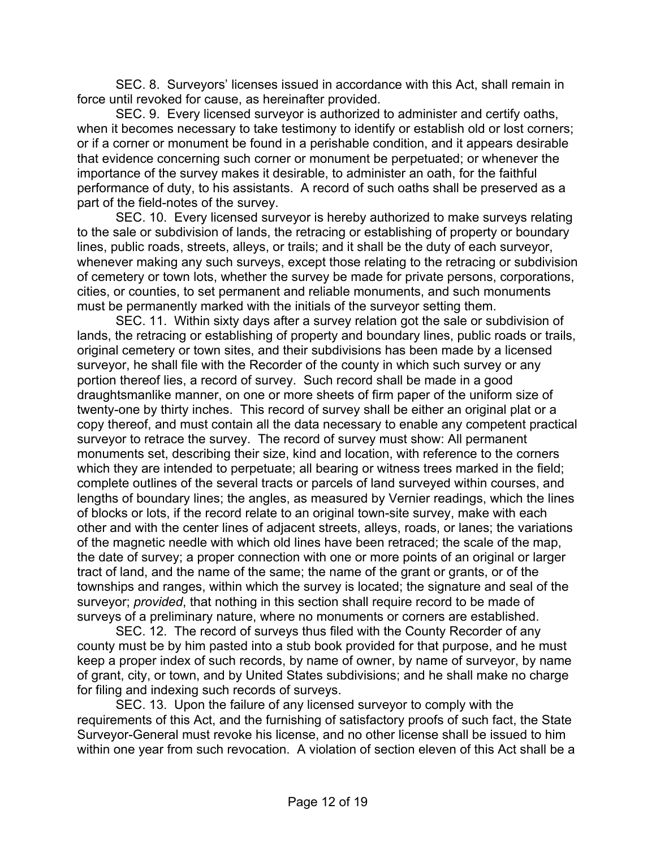SEC. 8. Surveyors' licenses issued in accordance with this Act, shall remain in force until revoked for cause, as hereinafter provided.

 SEC. 9. Every licensed surveyor is authorized to administer and certify oaths, when it becomes necessary to take testimony to identify or establish old or lost corners; or if a corner or monument be found in a perishable condition, and it appears desirable that evidence concerning such corner or monument be perpetuated; or whenever the importance of the survey makes it desirable, to administer an oath, for the faithful performance of duty, to his assistants. A record of such oaths shall be preserved as a part of the field-notes of the survey.

 SEC. 10. Every licensed surveyor is hereby authorized to make surveys relating to the sale or subdivision of lands, the retracing or establishing of property or boundary lines, public roads, streets, alleys, or trails; and it shall be the duty of each surveyor, whenever making any such surveys, except those relating to the retracing or subdivision of cemetery or town lots, whether the survey be made for private persons, corporations, cities, or counties, to set permanent and reliable monuments, and such monuments must be permanently marked with the initials of the surveyor setting them.

 SEC. 11. Within sixty days after a survey relation got the sale or subdivision of lands, the retracing or establishing of property and boundary lines, public roads or trails, original cemetery or town sites, and their subdivisions has been made by a licensed surveyor, he shall file with the Recorder of the county in which such survey or any portion thereof lies, a record of survey. Such record shall be made in a good draughtsmanlike manner, on one or more sheets of firm paper of the uniform size of twenty-one by thirty inches. This record of survey shall be either an original plat or a copy thereof, and must contain all the data necessary to enable any competent practical surveyor to retrace the survey. The record of survey must show: All permanent monuments set, describing their size, kind and location, with reference to the corners which they are intended to perpetuate; all bearing or witness trees marked in the field; complete outlines of the several tracts or parcels of land surveyed within courses, and lengths of boundary lines; the angles, as measured by Vernier readings, which the lines of blocks or lots, if the record relate to an original town-site survey, make with each other and with the center lines of adjacent streets, alleys, roads, or lanes; the variations of the magnetic needle with which old lines have been retraced; the scale of the map, the date of survey; a proper connection with one or more points of an original or larger tract of land, and the name of the same; the name of the grant or grants, or of the townships and ranges, within which the survey is located; the signature and seal of the surveyor; *provided*, that nothing in this section shall require record to be made of surveys of a preliminary nature, where no monuments or corners are established.

 SEC. 12. The record of surveys thus filed with the County Recorder of any county must be by him pasted into a stub book provided for that purpose, and he must keep a proper index of such records, by name of owner, by name of surveyor, by name of grant, city, or town, and by United States subdivisions; and he shall make no charge for filing and indexing such records of surveys.

 SEC. 13. Upon the failure of any licensed surveyor to comply with the requirements of this Act, and the furnishing of satisfactory proofs of such fact, the State Surveyor-General must revoke his license, and no other license shall be issued to him within one year from such revocation. A violation of section eleven of this Act shall be a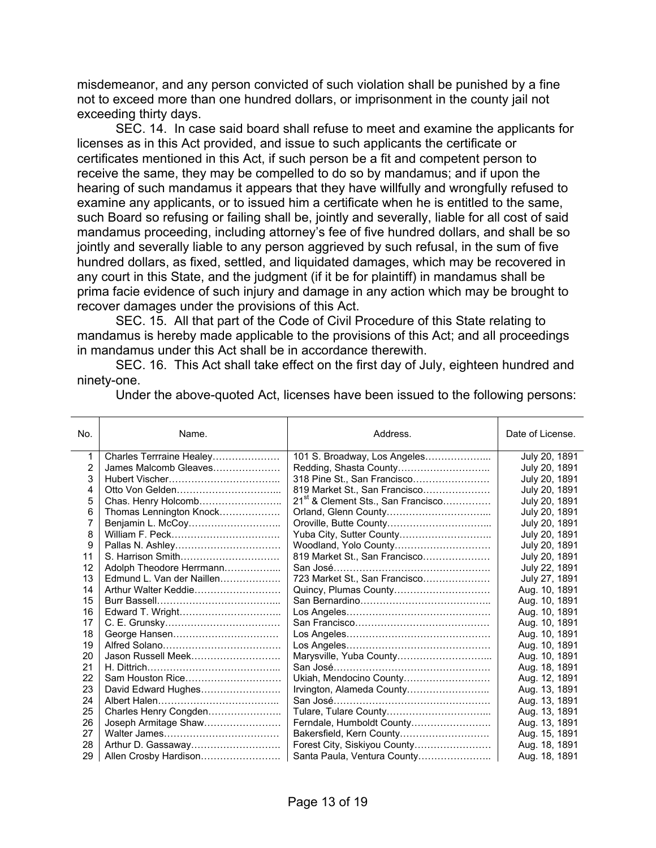misdemeanor, and any person convicted of such violation shall be punished by a fine not to exceed more than one hundred dollars, or imprisonment in the county jail not exceeding thirty days.

 SEC. 14. In case said board shall refuse to meet and examine the applicants for licenses as in this Act provided, and issue to such applicants the certificate or certificates mentioned in this Act, if such person be a fit and competent person to receive the same, they may be compelled to do so by mandamus; and if upon the hearing of such mandamus it appears that they have willfully and wrongfully refused to examine any applicants, or to issued him a certificate when he is entitled to the same, such Board so refusing or failing shall be, jointly and severally, liable for all cost of said mandamus proceeding, including attorney's fee of five hundred dollars, and shall be so jointly and severally liable to any person aggrieved by such refusal, in the sum of five hundred dollars, as fixed, settled, and liquidated damages, which may be recovered in any court in this State, and the judgment (if it be for plaintiff) in mandamus shall be prima facie evidence of such injury and damage in any action which may be brought to recover damages under the provisions of this Act.

 SEC. 15. All that part of the Code of Civil Procedure of this State relating to mandamus is hereby made applicable to the provisions of this Act; and all proceedings in mandamus under this Act shall be in accordance therewith.

 SEC. 16. This Act shall take effect on the first day of July, eighteen hundred and ninety-one.

| No. | Name.                     | Address.                                       | Date of License. |
|-----|---------------------------|------------------------------------------------|------------------|
| 1   | Charles Terrraine Healey  | 101 S. Broadway, Los Angeles                   | July 20, 1891    |
| 2   | James Malcomb Gleaves     | Redding, Shasta County                         | July 20, 1891    |
| 3   |                           | 318 Pine St., San Francisco                    | July 20, 1891    |
| 4   |                           | 819 Market St., San Francisco                  | July 20, 1891    |
| 5   | Chas. Henry Holcomb       | 21 <sup>st</sup> & Clement Sts., San Francisco | July 20, 1891    |
| 6   | Thomas Lennington Knock   |                                                | July 20, 1891    |
|     |                           |                                                | July 20, 1891    |
| 8   |                           | Yuba City, Sutter County                       | July 20, 1891    |
| 9   |                           | Woodland, Yolo County                          | July 20, 1891    |
| 11  |                           | 819 Market St., San Francisco                  | July 20, 1891    |
| 12  | Adolph Theodore Herrmann  |                                                | July 22, 1891    |
| 13  | Edmund L. Van der Naillen | 723 Market St., San Francisco                  | July 27, 1891    |
| 14  | Arthur Walter Keddie      | Quincy, Plumas County                          | Aug. 10, 1891    |
| 15  |                           |                                                | Aug. 10, 1891    |
| 16  | Edward T. Wright          |                                                | Aug. 10, 1891    |
| 17  |                           |                                                | Aug. 10, 1891    |
| 18  |                           |                                                | Aug. 10, 1891    |
| 19  |                           |                                                | Aug. 10, 1891    |
| 20  | Jason Russell Meek        | Marysville, Yuba County                        | Aug. 10, 1891    |
| 21  |                           |                                                | Aug. 18, 1891    |
| 22  | Sam Houston Rice          | Ukiah, Mendocino County                        | Aug. 12, 1891    |
| 23  | David Edward Hughes       | Irvington, Alameda County                      | Aug. 13, 1891    |
| 24  |                           |                                                | Aug. 13, 1891    |
| 25  | Charles Henry Congden     |                                                | Aug. 13, 1891    |
| 26  | Joseph Armitage Shaw      | Ferndale, Humboldt County                      | Aug. 13, 1891    |
| 27  |                           | Bakersfield, Kern County                       | Aug. 15, 1891    |
| 28  | Arthur D. Gassaway        | Forest City, Siskiyou County                   | Aug. 18, 1891    |
| 29  | Allen Crosby Hardison     | Santa Paula, Ventura County                    | Aug. 18, 1891    |

Under the above-quoted Act, licenses have been issued to the following persons: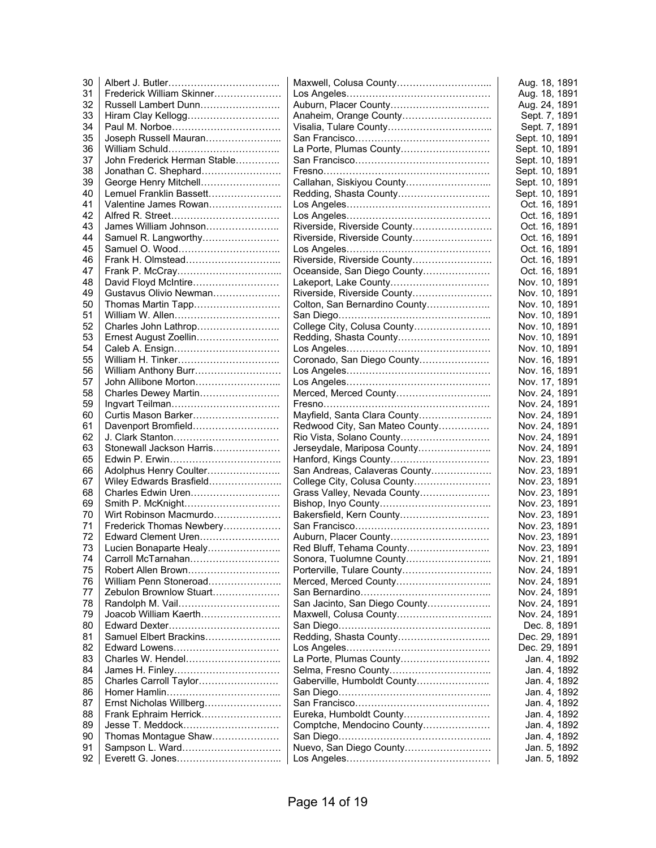| 30       |                              |                                | Aug. 18, 1891  |
|----------|------------------------------|--------------------------------|----------------|
| 31       | Frederick William Skinner    |                                | Aug. 18, 1891  |
| 32       | Russell Lambert Dunn         | Auburn, Placer County          | Aug. 24, 1891  |
| 33       | Hiram Clay Kellogg           | Anaheim, Orange County         | Sept. 7, 1891  |
| 34       |                              |                                | Sept. 7, 1891  |
| 35       | Joseph Russell Mauran        |                                | Sept. 10, 1891 |
| 36       |                              | La Porte, Plumas County        | Sept. 10, 1891 |
| 37       | John Frederick Herman Stable |                                | Sept. 10, 1891 |
| 38       | Jonathan C. Shephard         |                                | Sept. 10, 1891 |
| 39       | George Henry Mitchell        | Callahan, Siskiyou County      | Sept. 10, 1891 |
| 40       | Lemuel Franklin Bassett      | Redding, Shasta County         | Sept. 10, 1891 |
| 41       | Valentine James Rowan        |                                | Oct. 16, 1891  |
| 42       |                              |                                | Oct. 16, 1891  |
| 43       | James William Johnson        | Riverside, Riverside County    | Oct. 16, 1891  |
| 44       | Samuel R. Langworthy         | Riverside, Riverside County    | Oct. 16, 1891  |
| 45       |                              |                                | Oct. 16, 1891  |
| 46       |                              | Riverside, Riverside County    | Oct. 16, 1891  |
| 47       |                              | Oceanside, San Diego County    | Oct. 16, 1891  |
| 48       | David Floyd McIntire         | Lakeport, Lake County          | Nov. 10, 1891  |
| 49       | Gustavus Olivio Newman       |                                |                |
|          |                              | Riverside, Riverside County    | Nov. 10, 1891  |
| 50       | Thomas Martin Tapp           | Colton, San Bernardino County  | Nov. 10, 1891  |
| 51       | William W. Allen             |                                | Nov. 10, 1891  |
| 52       | Charles John Lathrop         | College City, Colusa County    | Nov. 10, 1891  |
| 53       | Ernest August Zoellin        | Redding, Shasta County         | Nov. 10, 1891  |
| 54       |                              |                                | Nov. 10, 1891  |
| 55       |                              | Coronado, San Diego County     | Nov. 16, 1891  |
| 56       | William Anthony Burr         |                                | Nov. 16, 1891  |
| 57       | John Allibone Morton         |                                | Nov. 17, 1891  |
| 58       | Charles Dewey Martin         |                                | Nov. 24, 1891  |
| 59       |                              |                                | Nov. 24, 1891  |
| 60       | Curtis Mason Barker          | Mayfield, Santa Clara County   | Nov. 24, 1891  |
| 61       | Davenport Bromfield          | Redwood City, San Mateo County | Nov. 24, 1891  |
| 62       |                              | Rio Vista, Solano County       | Nov. 24, 1891  |
| 63       | Stonewall Jackson Harris     | Jerseydale, Mariposa County    | Nov. 24, 1891  |
| 65       |                              |                                | Nov. 23, 1891  |
| 66       | Adolphus Henry Coulter       | San Andreas, Calaveras County  | Nov. 23, 1891  |
| 67       | Wiley Edwards Brasfield      | College City, Colusa County    | Nov. 23, 1891  |
| 68       | Charles Edwin Uren           | Grass Valley, Nevada County    | Nov. 23, 1891  |
| 69       | Smith P. McKnight            |                                | Nov. 23, 1891  |
| 70       | Wirt Robinson Macmurdo       | Bakersfield, Kern County       | Nov. 23, 1891  |
| 71       | Frederick Thomas Newbery     |                                | Nov. 23, 1891  |
| 72       | Edward Clement Uren          | Auburn, Placer County          | Nov. 23, 1891  |
| 73       | Lucien Bonaparte Healy       | Red Bluff, Tehama County       | Nov. 23, 1891  |
| 74       | Carroll McTarnahan           | Sonora, Tuolumne County        | Nov. 21, 1891  |
| 75       |                              | Porterville, Tulare County     | Nov. 24, 1891  |
| 76       | William Penn Stoneroad       | Merced, Merced County          | Nov. 24, 1891  |
| 77       | Zebulon Brownlow Stuart      |                                | Nov. 24, 1891  |
| 78       |                              | San Jacinto, San Diego County  | Nov. 24, 1891  |
| 79       | Joacob William Kaerth        | Maxwell, Colusa County         | Nov. 24, 1891  |
| 80       |                              |                                | Dec. 8, 1891   |
| 81       | Samuel Elbert Brackins       |                                | Dec. 29, 1891  |
| 82       | Edward Lowens                |                                | Dec. 29, 1891  |
| 83       | Charles W. Hendel            | La Porte, Plumas County        | Jan. 4, 1892   |
| 84       |                              |                                | Jan. 4, 1892   |
| 85       | Charles Carroll Taylor       | Gaberville, Humboldt County    | Jan. 4, 1892   |
| 86       |                              |                                | Jan. 4, 1892   |
| 87       | Ernst Nicholas Willberg      |                                | Jan. 4, 1892   |
| 88       | Frank Ephraim Herrick        | Eureka, Humboldt County        |                |
|          | Jesse T. Meddock             |                                | Jan. 4, 1892   |
| 89       |                              | Comptche, Mendocino County     | Jan. 4, 1892   |
| 90<br>91 | Thomas Montague Shaw         |                                | Jan. 4, 1892   |
|          |                              | Nuevo, San Diego County        | Jan. 5, 1892   |
| 92       |                              |                                | Jan. 5, 1892   |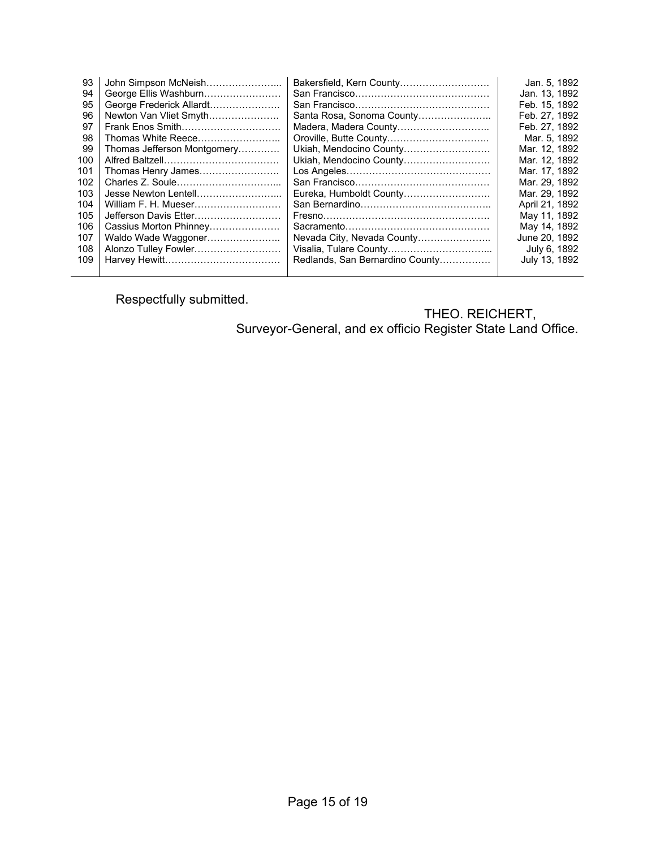| 93  | John Simpson McNeish        | Bakersfield, Kern County        | Jan. 5, 1892   |
|-----|-----------------------------|---------------------------------|----------------|
| 94  | George Ellis Washburn       |                                 | Jan. 13, 1892  |
| 95  | George Frederick Allardt    |                                 | Feb. 15, 1892  |
| 96  | Newton Van Vliet Smyth      | Santa Rosa, Sonoma County       | Feb. 27, 1892  |
| 97  | Frank Enos Smith            | Madera, Madera County           | Feb. 27, 1892  |
| 98  | Thomas White Reece          |                                 | Mar. 5, 1892   |
| 99  | Thomas Jefferson Montgomery | Ukiah, Mendocino County         | Mar. 12, 1892  |
| 100 |                             | Ukiah, Mendocino County         | Mar. 12, 1892  |
| 101 | Thomas Henry James          |                                 | Mar. 17, 1892  |
| 102 |                             |                                 | Mar. 29, 1892  |
| 103 | Jesse Newton Lentell        | Eureka, Humboldt County         | Mar. 29, 1892  |
| 104 | William F. H. Mueser        |                                 | April 21, 1892 |
| 105 | Jefferson Davis Etter       |                                 | May 11, 1892   |
| 106 | Cassius Morton Phinney      |                                 | May 14, 1892   |
| 107 | Waldo Wade Waggoner         | Nevada City, Nevada County      | June 20, 1892  |
| 108 | Alonzo Tulley Fowler        |                                 | July 6, 1892   |
| 109 |                             | Redlands, San Bernardino County | July 13, 1892  |
|     |                             |                                 |                |

Respectfully submitted.

THEO. REICHERT, Surveyor-General, and ex officio Register State Land Office.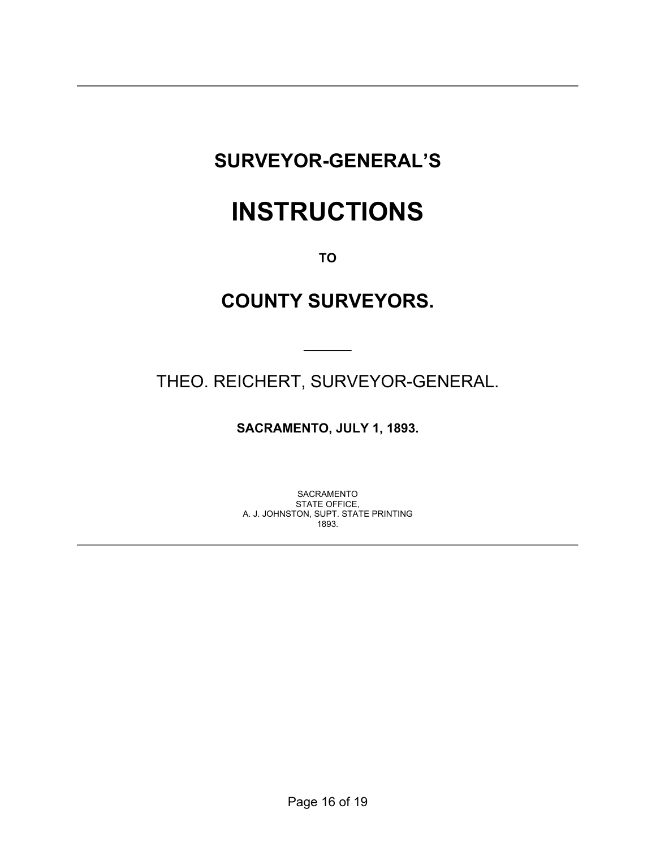# **SURVEYOR-GENERAL'S**

# **INSTRUCTIONS**

**TO** 

# **COUNTY SURVEYORS.**

THEO. REICHERT, SURVEYOR-GENERAL.

 $\frac{1}{2}$ 

**SACRAMENTO, JULY 1, 1893.** 

SACRAMENTO STATE OFFICE, A. J. JOHNSTON, SUPT. STATE PRINTING 1893.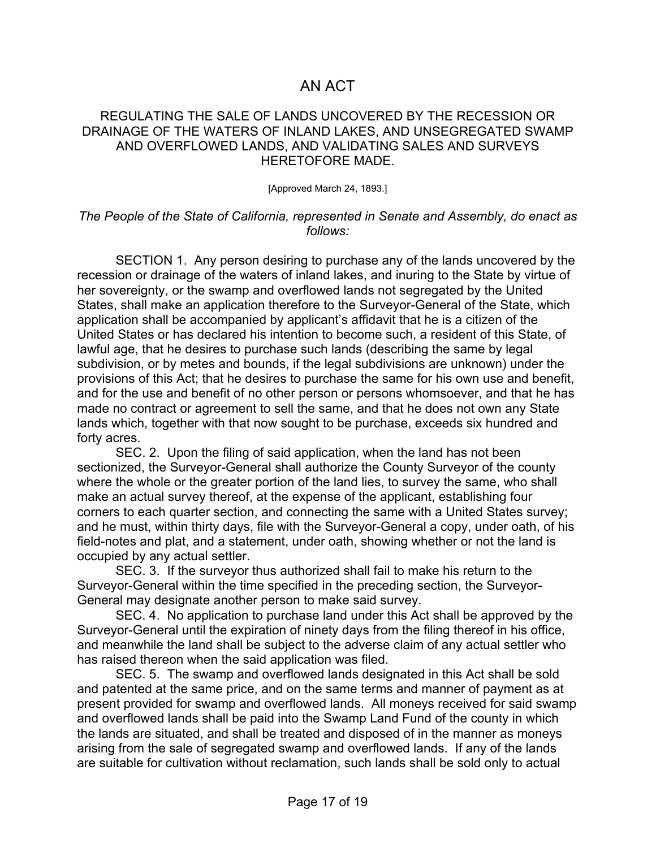### AN ACT

#### REGULATING THE SALE OF LANDS UNCOVERED BY THE RECESSION OR DRAINAGE OF THE WATERS OF INLAND LAKES, AND UNSEGREGATED SWAMP AND OVERFLOWED LANDS, AND VALIDATING SALES AND SURVEYS HERETOFORE MADE.

#### [Approved March 24, 1893.]

#### *The People of the State of California, represented in Senate and Assembly, do enact as follows:*

 SECTION 1. Any person desiring to purchase any of the lands uncovered by the recession or drainage of the waters of inland lakes, and inuring to the State by virtue of her sovereignty, or the swamp and overflowed lands not segregated by the United States, shall make an application therefore to the Surveyor-General of the State, which application shall be accompanied by applicant's affidavit that he is a citizen of the United States or has declared his intention to become such, a resident of this State, of lawful age, that he desires to purchase such lands (describing the same by legal subdivision, or by metes and bounds, if the legal subdivisions are unknown) under the provisions of this Act; that he desires to purchase the same for his own use and benefit, and for the use and benefit of no other person or persons whomsoever, and that he has made no contract or agreement to sell the same, and that he does not own any State lands which, together with that now sought to be purchase, exceeds six hundred and forty acres.

 SEC. 2. Upon the filing of said application, when the land has not been sectionized, the Surveyor-General shall authorize the County Surveyor of the county where the whole or the greater portion of the land lies, to survey the same, who shall make an actual survey thereof, at the expense of the applicant, establishing four corners to each quarter section, and connecting the same with a United States survey; and he must, within thirty days, file with the Surveyor-General a copy, under oath, of his field-notes and plat, and a statement, under oath, showing whether or not the land is occupied by any actual settler.

 SEC. 3. If the surveyor thus authorized shall fail to make his return to the Surveyor-General within the time specified in the preceding section, the Surveyor-General may designate another person to make said survey.

 SEC. 4. No application to purchase land under this Act shall be approved by the Surveyor-General until the expiration of ninety days from the filing thereof in his office, and meanwhile the land shall be subject to the adverse claim of any actual settler who has raised thereon when the said application was filed.

 SEC. 5. The swamp and overflowed lands designated in this Act shall be sold and patented at the same price, and on the same terms and manner of payment as at present provided for swamp and overflowed lands. All moneys received for said swamp and overflowed lands shall be paid into the Swamp Land Fund of the county in which the lands are situated, and shall be treated and disposed of in the manner as moneys arising from the sale of segregated swamp and overflowed lands. If any of the lands are suitable for cultivation without reclamation, such lands shall be sold only to actual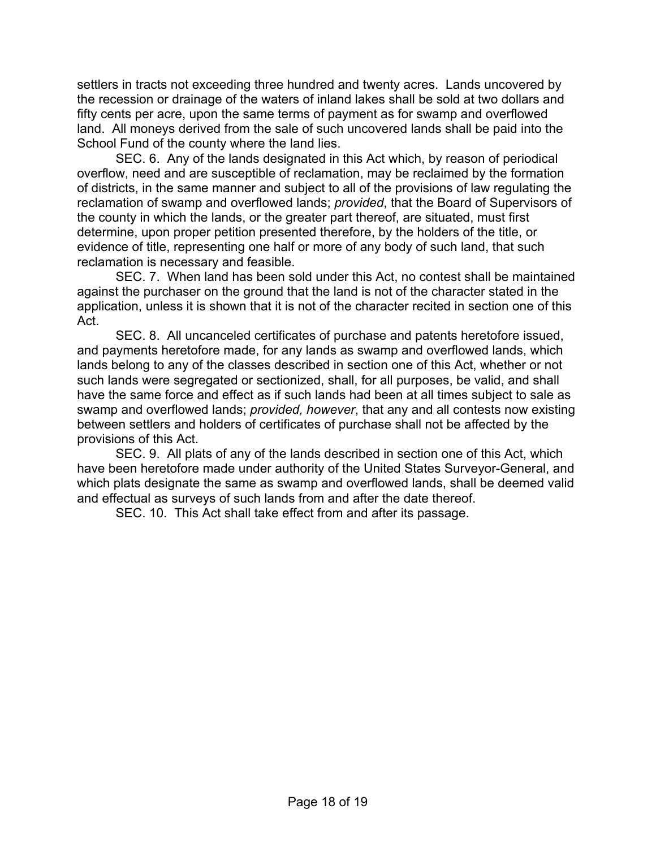settlers in tracts not exceeding three hundred and twenty acres. Lands uncovered by the recession or drainage of the waters of inland lakes shall be sold at two dollars and fifty cents per acre, upon the same terms of payment as for swamp and overflowed land. All moneys derived from the sale of such uncovered lands shall be paid into the School Fund of the county where the land lies.

 SEC. 6. Any of the lands designated in this Act which, by reason of periodical overflow, need and are susceptible of reclamation, may be reclaimed by the formation of districts, in the same manner and subject to all of the provisions of law regulating the reclamation of swamp and overflowed lands; *provided*, that the Board of Supervisors of the county in which the lands, or the greater part thereof, are situated, must first determine, upon proper petition presented therefore, by the holders of the title, or evidence of title, representing one half or more of any body of such land, that such reclamation is necessary and feasible.

 SEC. 7. When land has been sold under this Act, no contest shall be maintained against the purchaser on the ground that the land is not of the character stated in the application, unless it is shown that it is not of the character recited in section one of this Act.

 SEC. 8. All uncanceled certificates of purchase and patents heretofore issued, and payments heretofore made, for any lands as swamp and overflowed lands, which lands belong to any of the classes described in section one of this Act, whether or not such lands were segregated or sectionized, shall, for all purposes, be valid, and shall have the same force and effect as if such lands had been at all times subject to sale as swamp and overflowed lands; *provided, however*, that any and all contests now existing between settlers and holders of certificates of purchase shall not be affected by the provisions of this Act.

 SEC. 9. All plats of any of the lands described in section one of this Act, which have been heretofore made under authority of the United States Surveyor-General, and which plats designate the same as swamp and overflowed lands, shall be deemed valid and effectual as surveys of such lands from and after the date thereof.

SEC. 10. This Act shall take effect from and after its passage.